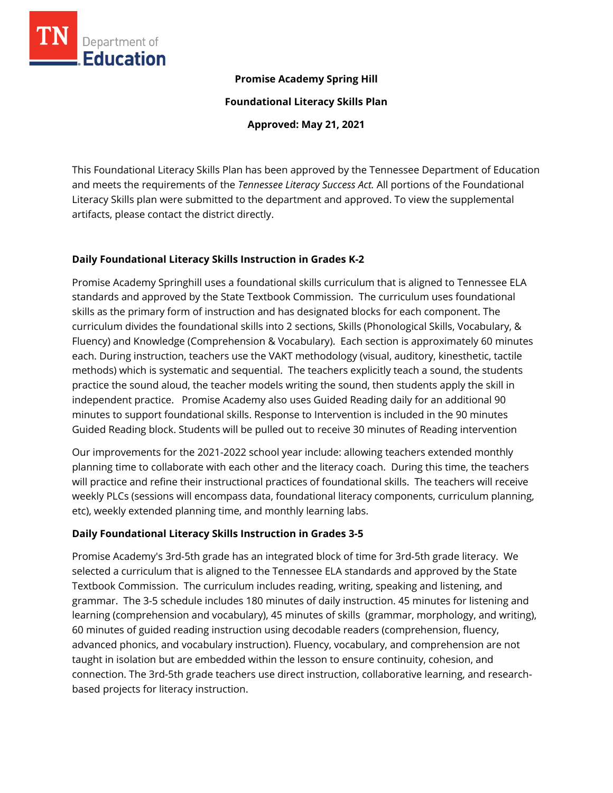

**Promise Academy Spring Hill**

**Foundational Literacy Skills Plan**

**Approved: May 21, 2021**

This Foundational Literacy Skills Plan has been approved by the Tennessee Department of Education and meets the requirements of the *Tennessee Literacy Success Act.* All portions of the Foundational Literacy Skills plan were submitted to the department and approved. To view the supplemental artifacts, please contact the district directly.

## **Daily Foundational Literacy Skills Instruction in Grades K-2**

Promise Academy Springhill uses a foundational skills curriculum that is aligned to Tennessee ELA standards and approved by the State Textbook Commission. The curriculum uses foundational skills as the primary form of instruction and has designated blocks for each component. The curriculum divides the foundational skills into 2 sections, Skills (Phonological Skills, Vocabulary, & Fluency) and Knowledge (Comprehension & Vocabulary). Each section is approximately 60 minutes each. During instruction, teachers use the VAKT methodology (visual, auditory, kinesthetic, tactile methods) which is systematic and sequential. The teachers explicitly teach a sound, the students practice the sound aloud, the teacher models writing the sound, then students apply the skill in independent practice. Promise Academy also uses Guided Reading daily for an additional 90 minutes to support foundational skills. Response to Intervention is included in the 90 minutes Guided Reading block. Students will be pulled out to receive 30 minutes of Reading intervention

Our improvements for the 2021-2022 school year include: allowing teachers extended monthly planning time to collaborate with each other and the literacy coach. During this time, the teachers will practice and refine their instructional practices of foundational skills. The teachers will receive weekly PLCs (sessions will encompass data, foundational literacy components, curriculum planning, etc), weekly extended planning time, and monthly learning labs.

# **Daily Foundational Literacy Skills Instruction in Grades 3-5**

Promise Academy's 3rd-5th grade has an integrated block of time for 3rd-5th grade literacy. We selected a curriculum that is aligned to the Tennessee ELA standards and approved by the State Textbook Commission. The curriculum includes reading, writing, speaking and listening, and grammar. The 3-5 schedule includes 180 minutes of daily instruction. 45 minutes for listening and learning (comprehension and vocabulary), 45 minutes of skills (grammar, morphology, and writing), 60 minutes of guided reading instruction using decodable readers (comprehension, fluency, advanced phonics, and vocabulary instruction). Fluency, vocabulary, and comprehension are not taught in isolation but are embedded within the lesson to ensure continuity, cohesion, and connection. The 3rd-5th grade teachers use direct instruction, collaborative learning, and researchbased projects for literacy instruction.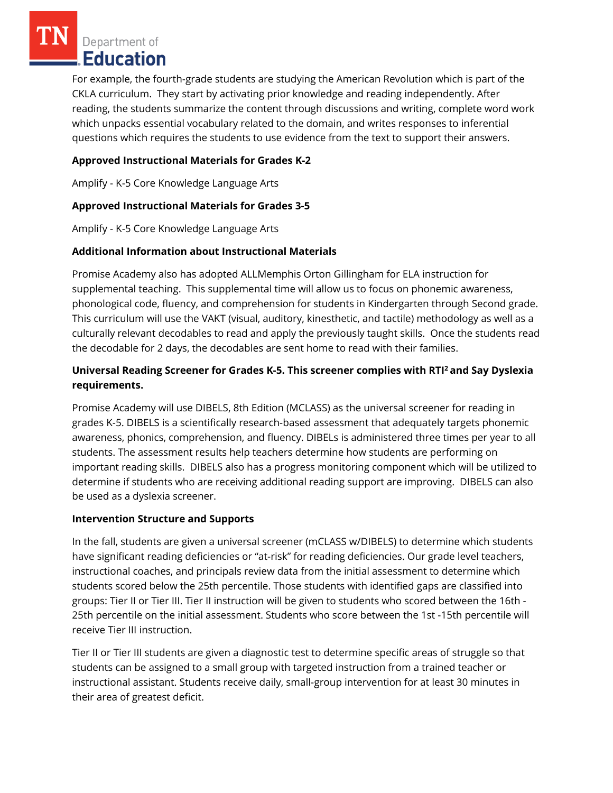Department of **Education** 

For example, the fourth-grade students are studying the American Revolution which is part of the CKLA curriculum. They start by activating prior knowledge and reading independently. After reading, the students summarize the content through discussions and writing, complete word work which unpacks essential vocabulary related to the domain, and writes responses to inferential questions which requires the students to use evidence from the text to support their answers.

# **Approved Instructional Materials for Grades K-2**

Amplify - K-5 Core Knowledge Language Arts

## **Approved Instructional Materials for Grades 3-5**

Amplify - K-5 Core Knowledge Language Arts

## **Additional Information about Instructional Materials**

Promise Academy also has adopted ALLMemphis Orton Gillingham for ELA instruction for supplemental teaching. This supplemental time will allow us to focus on phonemic awareness, phonological code, fluency, and comprehension for students in Kindergarten through Second grade. This curriculum will use the VAKT (visual, auditory, kinesthetic, and tactile) methodology as well as a culturally relevant decodables to read and apply the previously taught skills. Once the students read the decodable for 2 days, the decodables are sent home to read with their families.

# **Universal Reading Screener for Grades K-5. This screener complies with RTI<sup>2</sup>and Say Dyslexia requirements.**

Promise Academy will use DIBELS, 8th Edition (MCLASS) as the universal screener for reading in grades K-5. DIBELS is a scientifically research-based assessment that adequately targets phonemic awareness, phonics, comprehension, and fluency. DIBELs is administered three times per year to all students. The assessment results help teachers determine how students are performing on important reading skills. DIBELS also has a progress monitoring component which will be utilized to determine if students who are receiving additional reading support are improving. DIBELS can also be used as a dyslexia screener.

#### **Intervention Structure and Supports**

In the fall, students are given a universal screener (mCLASS w/DIBELS) to determine which students have significant reading deficiencies or "at-risk" for reading deficiencies. Our grade level teachers, instructional coaches, and principals review data from the initial assessment to determine which students scored below the 25th percentile. Those students with identified gaps are classified into groups: Tier II or Tier III. Tier II instruction will be given to students who scored between the 16th - 25th percentile on the initial assessment. Students who score between the 1st -15th percentile will receive Tier III instruction.

Tier II or Tier III students are given a diagnostic test to determine specific areas of struggle so that students can be assigned to a small group with targeted instruction from a trained teacher or instructional assistant. Students receive daily, small-group intervention for at least 30 minutes in their area of greatest deficit.